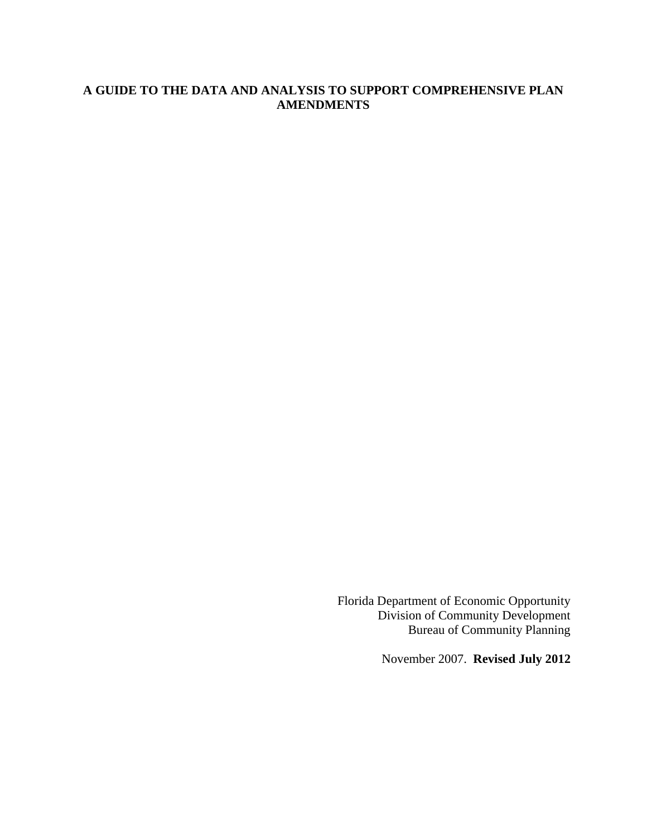## **A GUIDE TO THE DATA AND ANALYSIS TO SUPPORT COMPREHENSIVE PLAN AMENDMENTS**

Florida Department of Economic Opportunity Division of Community Development Bureau of Community Planning

November 2007. **Revised July 2012**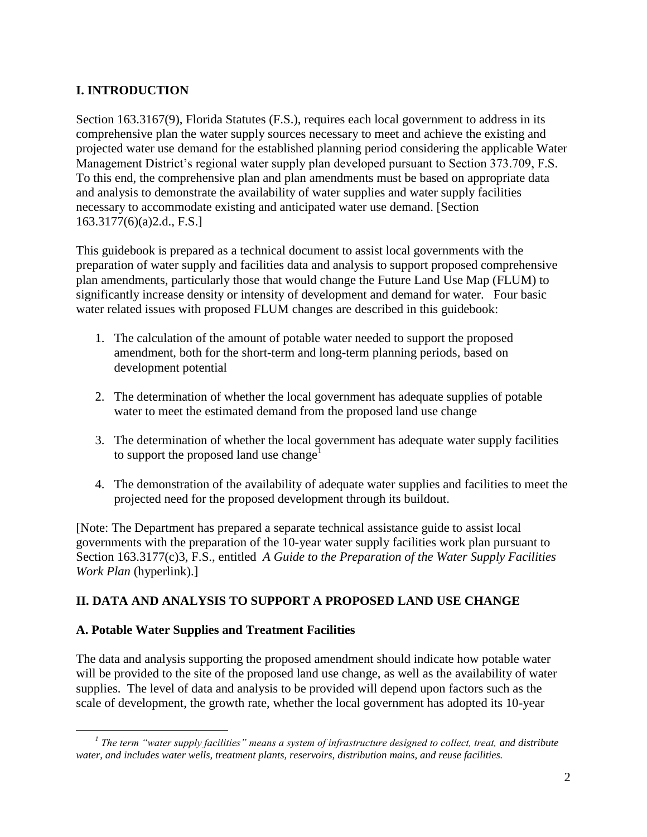# **I. INTRODUCTION**

Section 163.3167(9), Florida Statutes (F.S.), requires each local government to address in its comprehensive plan the water supply sources necessary to meet and achieve the existing and projected water use demand for the established planning period considering the applicable Water Management District's regional water supply plan developed pursuant to Section 373.709, F.S. To this end, the comprehensive plan and plan amendments must be based on appropriate data and analysis to demonstrate the availability of water supplies and water supply facilities necessary to accommodate existing and anticipated water use demand. [Section 163.3177(6)(a)2.d., F.S.]

This guidebook is prepared as a technical document to assist local governments with the preparation of water supply and facilities data and analysis to support proposed comprehensive plan amendments, particularly those that would change the Future Land Use Map (FLUM) to significantly increase density or intensity of development and demand for water. Four basic water related issues with proposed FLUM changes are described in this guidebook:

- 1. The calculation of the amount of potable water needed to support the proposed amendment, both for the short-term and long-term planning periods, based on development potential
- 2. The determination of whether the local government has adequate supplies of potable water to meet the estimated demand from the proposed land use change
- 3. The determination of whether the local government has adequate water supply facilities to support the proposed land use change<sup>1</sup>
- 4. The demonstration of the availability of adequate water supplies and facilities to meet the projected need for the proposed development through its buildout.

[Note: The Department has prepared a separate technical assistance guide to assist local governments with the preparation of the 10-year water supply facilities work plan pursuant to Section 163.3177(c)3, F.S., entitled *A Guide to the Preparation of the Water Supply Facilities Work Plan* (hyperlink).]

# **II. DATA AND ANALYSIS TO SUPPORT A PROPOSED LAND USE CHANGE**

## **A. Potable Water Supplies and Treatment Facilities**

The data and analysis supporting the proposed amendment should indicate how potable water will be provided to the site of the proposed land use change, as well as the availability of water supplies. The level of data and analysis to be provided will depend upon factors such as the scale of development, the growth rate, whether the local government has adopted its 10-year

 $\overline{a}$ *1 The term "water supply facilities" means a system of infrastructure designed to collect, treat, and distribute water, and includes water wells, treatment plants, reservoirs, distribution mains, and reuse facilities.*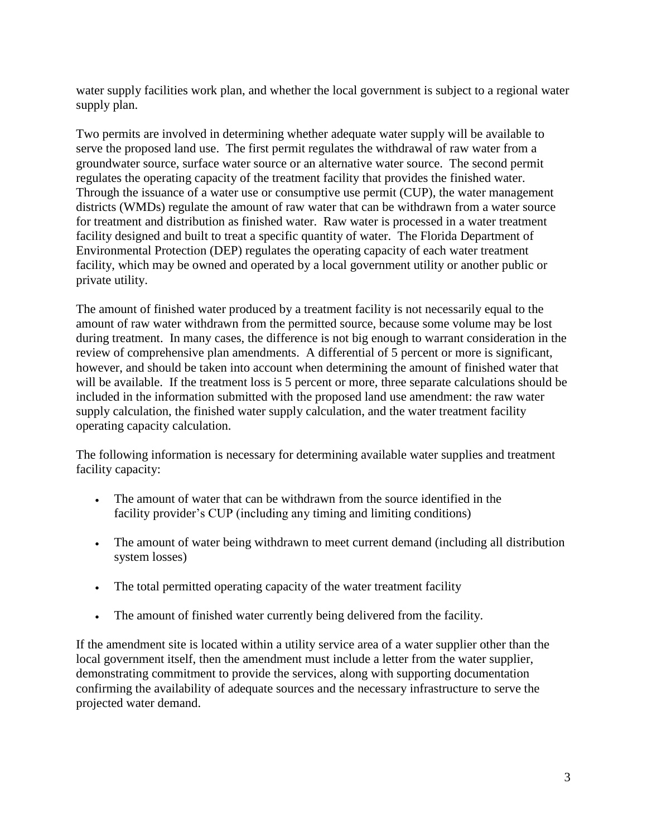water supply facilities work plan, and whether the local government is subject to a regional water supply plan.

Two permits are involved in determining whether adequate water supply will be available to serve the proposed land use. The first permit regulates the withdrawal of raw water from a groundwater source, surface water source or an alternative water source. The second permit regulates the operating capacity of the treatment facility that provides the finished water. Through the issuance of a water use or consumptive use permit (CUP), the water management districts (WMDs) regulate the amount of raw water that can be withdrawn from a water source for treatment and distribution as finished water. Raw water is processed in a water treatment facility designed and built to treat a specific quantity of water. The Florida Department of Environmental Protection (DEP) regulates the operating capacity of each water treatment facility, which may be owned and operated by a local government utility or another public or private utility.

The amount of finished water produced by a treatment facility is not necessarily equal to the amount of raw water withdrawn from the permitted source, because some volume may be lost during treatment. In many cases, the difference is not big enough to warrant consideration in the review of comprehensive plan amendments. A differential of 5 percent or more is significant, however, and should be taken into account when determining the amount of finished water that will be available. If the treatment loss is 5 percent or more, three separate calculations should be included in the information submitted with the proposed land use amendment: the raw water supply calculation, the finished water supply calculation, and the water treatment facility operating capacity calculation.

The following information is necessary for determining available water supplies and treatment facility capacity:

- The amount of water that can be withdrawn from the source identified in the facility provider's CUP (including any timing and limiting conditions)
- The amount of water being withdrawn to meet current demand (including all distribution system losses)
- The total permitted operating capacity of the water treatment facility
- The amount of finished water currently being delivered from the facility.

If the amendment site is located within a utility service area of a water supplier other than the local government itself, then the amendment must include a letter from the water supplier, demonstrating commitment to provide the services, along with supporting documentation confirming the availability of adequate sources and the necessary infrastructure to serve the projected water demand.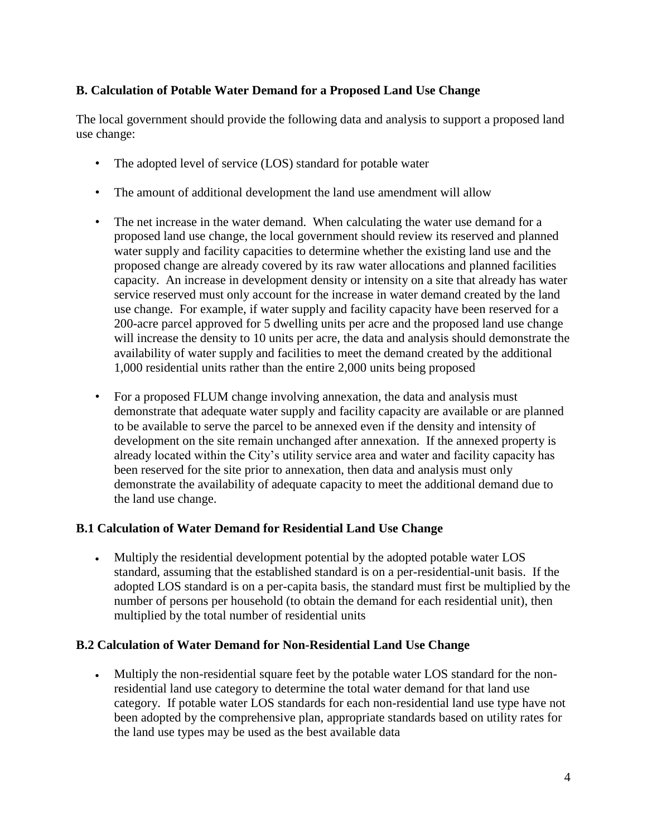## **B. Calculation of Potable Water Demand for a Proposed Land Use Change**

The local government should provide the following data and analysis to support a proposed land use change:

- The adopted level of service (LOS) standard for potable water
- The amount of additional development the land use amendment will allow
- The net increase in the water demand. When calculating the water use demand for a proposed land use change, the local government should review its reserved and planned water supply and facility capacities to determine whether the existing land use and the proposed change are already covered by its raw water allocations and planned facilities capacity. An increase in development density or intensity on a site that already has water service reserved must only account for the increase in water demand created by the land use change. For example, if water supply and facility capacity have been reserved for a 200-acre parcel approved for 5 dwelling units per acre and the proposed land use change will increase the density to 10 units per acre, the data and analysis should demonstrate the availability of water supply and facilities to meet the demand created by the additional 1,000 residential units rather than the entire 2,000 units being proposed
- For a proposed FLUM change involving annexation, the data and analysis must demonstrate that adequate water supply and facility capacity are available or are planned to be available to serve the parcel to be annexed even if the density and intensity of development on the site remain unchanged after annexation. If the annexed property is already located within the City's utility service area and water and facility capacity has been reserved for the site prior to annexation, then data and analysis must only demonstrate the availability of adequate capacity to meet the additional demand due to the land use change.

## **B.1 Calculation of Water Demand for Residential Land Use Change**

 Multiply the residential development potential by the adopted potable water LOS standard, assuming that the established standard is on a per-residential-unit basis. If the adopted LOS standard is on a per-capita basis, the standard must first be multiplied by the number of persons per household (to obtain the demand for each residential unit), then multiplied by the total number of residential units

## **B.2 Calculation of Water Demand for Non-Residential Land Use Change**

 Multiply the non-residential square feet by the potable water LOS standard for the nonresidential land use category to determine the total water demand for that land use category. If potable water LOS standards for each non-residential land use type have not been adopted by the comprehensive plan, appropriate standards based on utility rates for the land use types may be used as the best available data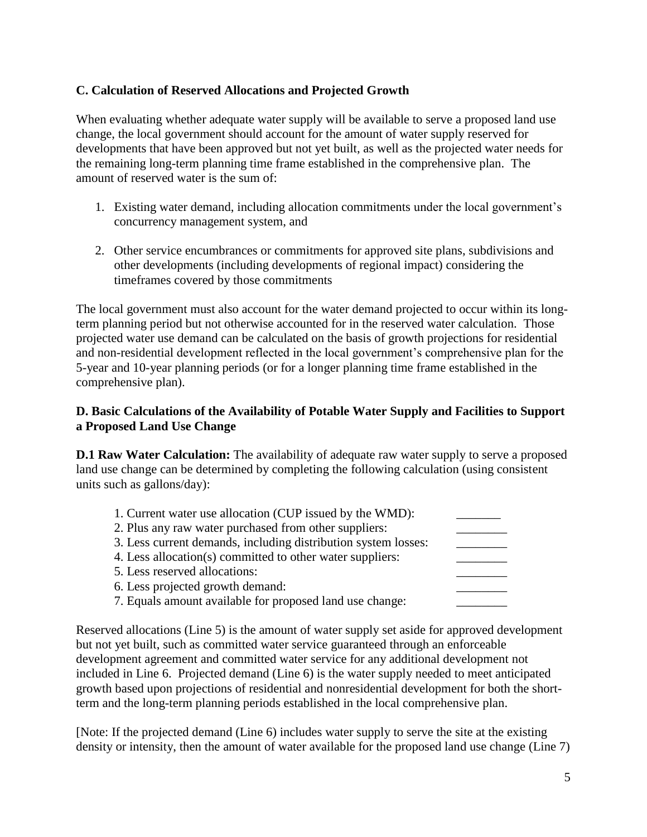## **C. Calculation of Reserved Allocations and Projected Growth**

When evaluating whether adequate water supply will be available to serve a proposed land use change, the local government should account for the amount of water supply reserved for developments that have been approved but not yet built, as well as the projected water needs for the remaining long-term planning time frame established in the comprehensive plan. The amount of reserved water is the sum of:

- 1. Existing water demand, including allocation commitments under the local government's concurrency management system, and
- 2. Other service encumbrances or commitments for approved site plans, subdivisions and other developments (including developments of regional impact) considering the timeframes covered by those commitments

The local government must also account for the water demand projected to occur within its longterm planning period but not otherwise accounted for in the reserved water calculation. Those projected water use demand can be calculated on the basis of growth projections for residential and non-residential development reflected in the local government's comprehensive plan for the 5-year and 10-year planning periods (or for a longer planning time frame established in the comprehensive plan).

## **D. Basic Calculations of the Availability of Potable Water Supply and Facilities to Support a Proposed Land Use Change**

**D.1 Raw Water Calculation:** The availability of adequate raw water supply to serve a proposed land use change can be determined by completing the following calculation (using consistent units such as gallons/day):

| 1. Current water use allocation (CUP issued by the WMD):       |  |
|----------------------------------------------------------------|--|
| 2. Plus any raw water purchased from other suppliers:          |  |
| 3. Less current demands, including distribution system losses: |  |
| 4. Less allocation(s) committed to other water suppliers:      |  |
| 5. Less reserved allocations:                                  |  |
| 6. Less projected growth demand:                               |  |
| 7. Equals amount available for proposed land use change:       |  |

Reserved allocations (Line 5) is the amount of water supply set aside for approved development but not yet built, such as committed water service guaranteed through an enforceable development agreement and committed water service for any additional development not included in Line 6. Projected demand (Line 6) is the water supply needed to meet anticipated growth based upon projections of residential and nonresidential development for both the shortterm and the long-term planning periods established in the local comprehensive plan.

[Note: If the projected demand (Line 6) includes water supply to serve the site at the existing density or intensity, then the amount of water available for the proposed land use change (Line 7)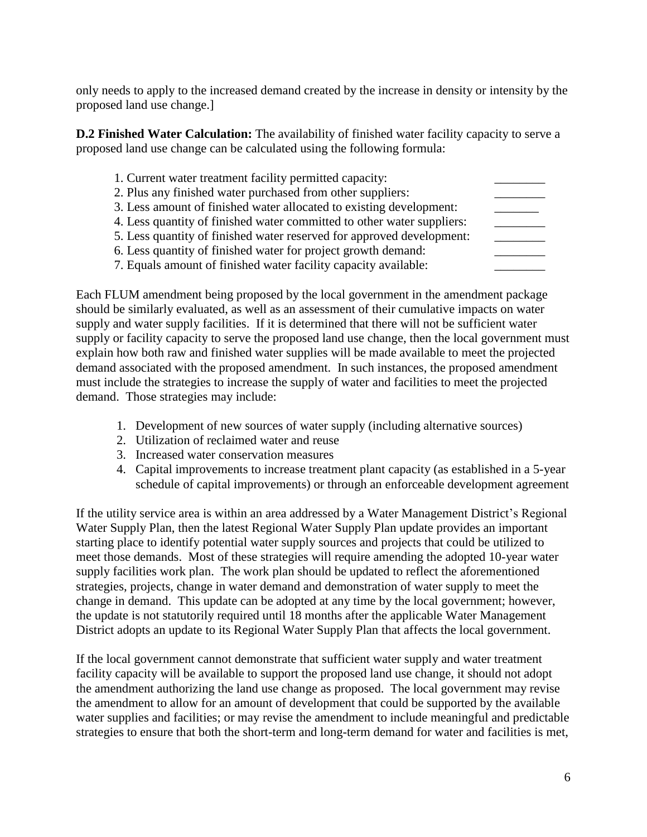only needs to apply to the increased demand created by the increase in density or intensity by the proposed land use change.]

**D.2 Finished Water Calculation:** The availability of finished water facility capacity to serve a proposed land use change can be calculated using the following formula:

| 1. Current water treatment facility permitted capacity:                |  |
|------------------------------------------------------------------------|--|
| 2. Plus any finished water purchased from other suppliers:             |  |
| 3. Less amount of finished water allocated to existing development:    |  |
| 4. Less quantity of finished water committed to other water suppliers: |  |
| 5. Less quantity of finished water reserved for approved development:  |  |
| 6. Less quantity of finished water for project growth demand:          |  |
| 7. Equals amount of finished water facility capacity available:        |  |

Each FLUM amendment being proposed by the local government in the amendment package should be similarly evaluated, as well as an assessment of their cumulative impacts on water supply and water supply facilities. If it is determined that there will not be sufficient water supply or facility capacity to serve the proposed land use change, then the local government must explain how both raw and finished water supplies will be made available to meet the projected demand associated with the proposed amendment. In such instances, the proposed amendment must include the strategies to increase the supply of water and facilities to meet the projected demand. Those strategies may include:

- 1. Development of new sources of water supply (including alternative sources)
- 2. Utilization of reclaimed water and reuse
- 3. Increased water conservation measures
- 4. Capital improvements to increase treatment plant capacity (as established in a 5-year schedule of capital improvements) or through an enforceable development agreement

If the utility service area is within an area addressed by a Water Management District's Regional Water Supply Plan, then the latest Regional Water Supply Plan update provides an important starting place to identify potential water supply sources and projects that could be utilized to meet those demands. Most of these strategies will require amending the adopted 10-year water supply facilities work plan. The work plan should be updated to reflect the aforementioned strategies, projects, change in water demand and demonstration of water supply to meet the change in demand. This update can be adopted at any time by the local government; however, the update is not statutorily required until 18 months after the applicable Water Management District adopts an update to its Regional Water Supply Plan that affects the local government.

If the local government cannot demonstrate that sufficient water supply and water treatment facility capacity will be available to support the proposed land use change, it should not adopt the amendment authorizing the land use change as proposed. The local government may revise the amendment to allow for an amount of development that could be supported by the available water supplies and facilities; or may revise the amendment to include meaningful and predictable strategies to ensure that both the short-term and long-term demand for water and facilities is met,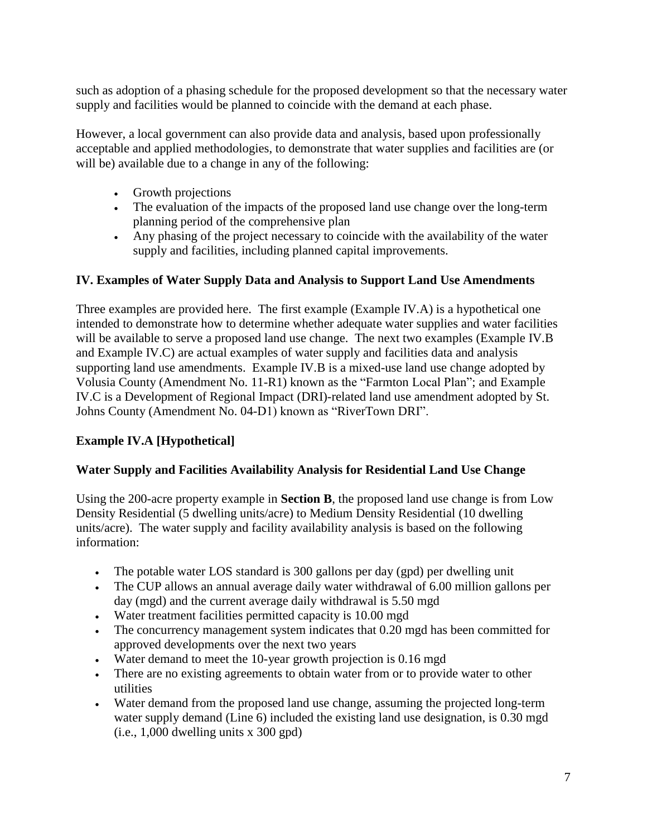such as adoption of a phasing schedule for the proposed development so that the necessary water supply and facilities would be planned to coincide with the demand at each phase.

However, a local government can also provide data and analysis, based upon professionally acceptable and applied methodologies, to demonstrate that water supplies and facilities are (or will be) available due to a change in any of the following:

- Growth projections
- The evaluation of the impacts of the proposed land use change over the long-term planning period of the comprehensive plan
- Any phasing of the project necessary to coincide with the availability of the water supply and facilities, including planned capital improvements.

## **IV. Examples of Water Supply Data and Analysis to Support Land Use Amendments**

Three examples are provided here. The first example (Example IV.A) is a hypothetical one intended to demonstrate how to determine whether adequate water supplies and water facilities will be available to serve a proposed land use change. The next two examples (Example IV.B) and Example IV.C) are actual examples of water supply and facilities data and analysis supporting land use amendments. Example IV.B is a mixed-use land use change adopted by Volusia County (Amendment No. 11-R1) known as the "Farmton Local Plan"; and Example IV.C is a Development of Regional Impact (DRI)-related land use amendment adopted by St. Johns County (Amendment No. 04-D1) known as "RiverTown DRI".

# **Example IV.A [Hypothetical]**

## **Water Supply and Facilities Availability Analysis for Residential Land Use Change**

Using the 200-acre property example in **Section B**, the proposed land use change is from Low Density Residential (5 dwelling units/acre) to Medium Density Residential (10 dwelling units/acre). The water supply and facility availability analysis is based on the following information:

- The potable water LOS standard is 300 gallons per day (gpd) per dwelling unit
- The CUP allows an annual average daily water withdrawal of 6.00 million gallons per day (mgd) and the current average daily withdrawal is 5.50 mgd
- Water treatment facilities permitted capacity is 10.00 mgd
- The concurrency management system indicates that 0.20 mgd has been committed for approved developments over the next two years
- Water demand to meet the 10-year growth projection is 0.16 mgd
- There are no existing agreements to obtain water from or to provide water to other utilities
- Water demand from the proposed land use change, assuming the projected long-term water supply demand (Line 6) included the existing land use designation, is 0.30 mgd (i.e., 1,000 dwelling units x 300 gpd)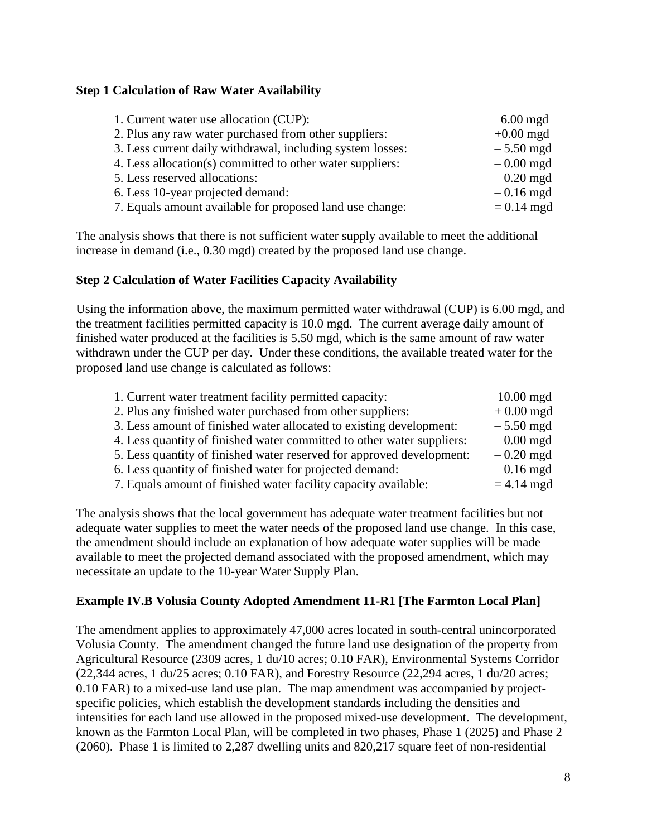### **Step 1 Calculation of Raw Water Availability**

| 1. Current water use allocation (CUP):                     | $6.00$ mgd   |
|------------------------------------------------------------|--------------|
| 2. Plus any raw water purchased from other suppliers:      | $+0.00$ mgd  |
| 3. Less current daily withdrawal, including system losses: | $-5.50$ mgd  |
| 4. Less allocation(s) committed to other water suppliers:  | $-0.00$ mgd  |
| 5. Less reserved allocations:                              | $-0.20$ mgd  |
| 6. Less 10-year projected demand:                          | $-0.16$ mgd  |
| 7. Equals amount available for proposed land use change:   | $= 0.14$ mgd |

The analysis shows that there is not sufficient water supply available to meet the additional increase in demand (i.e., 0.30 mgd) created by the proposed land use change.

### **Step 2 Calculation of Water Facilities Capacity Availability**

Using the information above, the maximum permitted water withdrawal (CUP) is 6.00 mgd, and the treatment facilities permitted capacity is 10.0 mgd. The current average daily amount of finished water produced at the facilities is 5.50 mgd, which is the same amount of raw water withdrawn under the CUP per day. Under these conditions, the available treated water for the proposed land use change is calculated as follows:

| 1. Current water treatment facility permitted capacity:                | $10.00$ mgd  |
|------------------------------------------------------------------------|--------------|
| 2. Plus any finished water purchased from other suppliers:             | $+0.00$ mgd  |
| 3. Less amount of finished water allocated to existing development:    | $-5.50$ mgd  |
| 4. Less quantity of finished water committed to other water suppliers: | $-0.00$ mgd  |
| 5. Less quantity of finished water reserved for approved development:  | $-0.20$ mgd  |
| 6. Less quantity of finished water for projected demand:               | $-0.16$ mgd  |
| 7. Equals amount of finished water facility capacity available:        | $= 4.14$ mgd |

The analysis shows that the local government has adequate water treatment facilities but not adequate water supplies to meet the water needs of the proposed land use change. In this case, the amendment should include an explanation of how adequate water supplies will be made available to meet the projected demand associated with the proposed amendment, which may necessitate an update to the 10-year Water Supply Plan.

#### **Example IV.B Volusia County Adopted Amendment 11-R1 [The Farmton Local Plan]**

The amendment applies to approximately 47,000 acres located in south-central unincorporated Volusia County. The amendment changed the future land use designation of the property from Agricultural Resource (2309 acres, 1 du/10 acres; 0.10 FAR), Environmental Systems Corridor (22,344 acres, 1 du/25 acres; 0.10 FAR), and Forestry Resource (22,294 acres, 1 du/20 acres; 0.10 FAR) to a mixed-use land use plan. The map amendment was accompanied by projectspecific policies, which establish the development standards including the densities and intensities for each land use allowed in the proposed mixed-use development. The development, known as the Farmton Local Plan, will be completed in two phases, Phase 1 (2025) and Phase 2 (2060). Phase 1 is limited to 2,287 dwelling units and 820,217 square feet of non-residential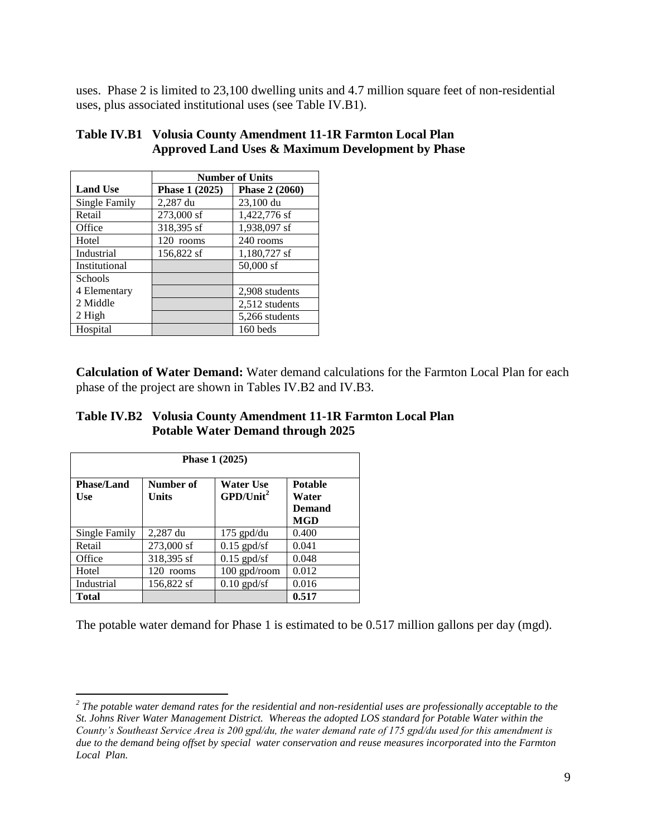uses. Phase 2 is limited to 23,100 dwelling units and 4.7 million square feet of non-residential uses, plus associated institutional uses (see Table IV.B1).

|                 | <b>Number of Units</b> |                |  |
|-----------------|------------------------|----------------|--|
| <b>Land Use</b> | Phase 1 (2025)         | Phase 2 (2060) |  |
| Single Family   | 2,287 du               | 23,100 du      |  |
| Retail          | 273,000 sf             | 1,422,776 sf   |  |
| Office          | 318,395 sf             | 1,938,097 sf   |  |
| Hotel           | 120 rooms              | 240 rooms      |  |
| Industrial      | 156,822 sf             | 1,180,727 sf   |  |
| Institutional   |                        | 50,000 sf      |  |
| <b>Schools</b>  |                        |                |  |
| 4 Elementary    |                        | 2,908 students |  |
| 2 Middle        |                        | 2,512 students |  |
| 2 High          |                        | 5,266 students |  |
| Hospital        |                        | 160 beds       |  |

| Table IV.B1 Volusia County Amendment 11-1R Farmton Local Plan |
|---------------------------------------------------------------|
| Approved Land Uses & Maximum Development by Phase             |

**Calculation of Water Demand:** Water demand calculations for the Farmton Local Plan for each phase of the project are shown in Tables IV.B2 and IV.B3.

**Table IV.B2 Volusia County Amendment 11-1R Farmton Local Plan Potable Water Demand through 2025**

| Phase 1 (2025)                  |                    |                                              |                                                 |
|---------------------------------|--------------------|----------------------------------------------|-------------------------------------------------|
| <b>Phase/Land</b><br><b>Use</b> | Number of<br>Units | <b>Water Use</b><br>$GPD/U$ nit <sup>2</sup> | <b>Potable</b><br>Water<br>Demand<br><b>MGD</b> |
| Single Family                   | 2,287 du           | $175$ gpd/du                                 | 0.400                                           |
| Retail                          | 273,000 sf         | $0.15$ gpd/sf                                | 0.041                                           |
| Office                          | 318,395 sf         | $0.15$ gpd/sf                                | 0.048                                           |
| Hotel                           | 120 rooms          | 100 gpd/room                                 | 0.012                                           |
| Industrial                      | 156,822 sf         | $0.10$ gpd/sf                                | 0.016                                           |
| Total                           |                    |                                              | 0.517                                           |

The potable water demand for Phase 1 is estimated to be 0.517 million gallons per day (mgd).

 *2 The potable water demand rates for the residential and non-residential uses are professionally acceptable to the St. Johns River Water Management District. Whereas the adopted LOS standard for Potable Water within the County's Southeast Service Area is 200 gpd/du, the water demand rate of 175 gpd/du used for this amendment is due to the demand being offset by special water conservation and reuse measures incorporated into the Farmton Local Plan.*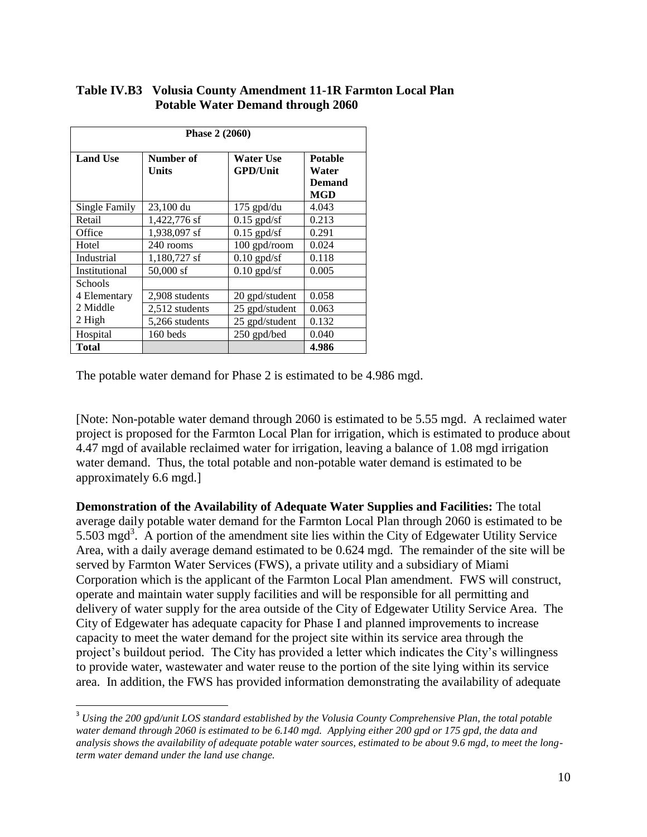### **Table IV.B3 Volusia County Amendment 11-1R Farmton Local Plan Potable Water Demand through 2060**

| <b>Phase 2 (2060)</b> |                    |                                     |                                                        |
|-----------------------|--------------------|-------------------------------------|--------------------------------------------------------|
| <b>Land Use</b>       | Number of<br>Units | <b>Water Use</b><br><b>GPD/Unit</b> | <b>Potable</b><br>Water<br><b>Demand</b><br><b>MGD</b> |
| <b>Single Family</b>  | 23,100 du          | $175$ gpd/du                        | 4.043                                                  |
| Retail                | 1,422,776 sf       | $0.15$ gpd/sf                       | 0.213                                                  |
| Office                | 1,938,097 sf       | $0.15$ gpd/sf                       | 0.291                                                  |
| Hotel                 | 240 rooms          | 100 gpd/room                        | 0.024                                                  |
| Industrial            | 1,180,727 sf       | $0.10$ gpd/sf                       | 0.118                                                  |
| Institutional         | $50,000$ sf        | $0.10$ gpd/sf                       | 0.005                                                  |
| Schools               |                    |                                     |                                                        |
| 4 Elementary          | 2,908 students     | 20 gpd/student                      | 0.058                                                  |
| 2 Middle              | 2,512 students     | 25 gpd/student                      | 0.063                                                  |
| 2 High                | 5,266 students     | 25 gpd/student                      | 0.132                                                  |
| Hospital              | 160 beds           | 250 gpd/bed                         | 0.040                                                  |
| Total                 |                    |                                     | 4.986                                                  |

 $\overline{a}$ 

The potable water demand for Phase 2 is estimated to be 4.986 mgd.

[Note: Non-potable water demand through 2060 is estimated to be 5.55 mgd. A reclaimed water project is proposed for the Farmton Local Plan for irrigation, which is estimated to produce about 4.47 mgd of available reclaimed water for irrigation, leaving a balance of 1.08 mgd irrigation water demand. Thus, the total potable and non-potable water demand is estimated to be approximately 6.6 mgd.]

**Demonstration of the Availability of Adequate Water Supplies and Facilities:** The total average daily potable water demand for the Farmton Local Plan through 2060 is estimated to be 5.503 mgd<sup>3</sup>. A portion of the amendment site lies within the City of Edgewater Utility Service Area, with a daily average demand estimated to be 0.624 mgd. The remainder of the site will be served by Farmton Water Services (FWS), a private utility and a subsidiary of Miami Corporation which is the applicant of the Farmton Local Plan amendment. FWS will construct, operate and maintain water supply facilities and will be responsible for all permitting and delivery of water supply for the area outside of the City of Edgewater Utility Service Area. The City of Edgewater has adequate capacity for Phase I and planned improvements to increase capacity to meet the water demand for the project site within its service area through the project's buildout period. The City has provided a letter which indicates the City's willingness to provide water, wastewater and water reuse to the portion of the site lying within its service area. In addition, the FWS has provided information demonstrating the availability of adequate

<sup>3</sup> *Using the 200 gpd/unit LOS standard established by the Volusia County Comprehensive Plan, the total potable water demand through 2060 is estimated to be 6.140 mgd. Applying either 200 gpd or 175 gpd, the data and analysis shows the availability of adequate potable water sources, estimated to be about 9.6 mgd, to meet the longterm water demand under the land use change.*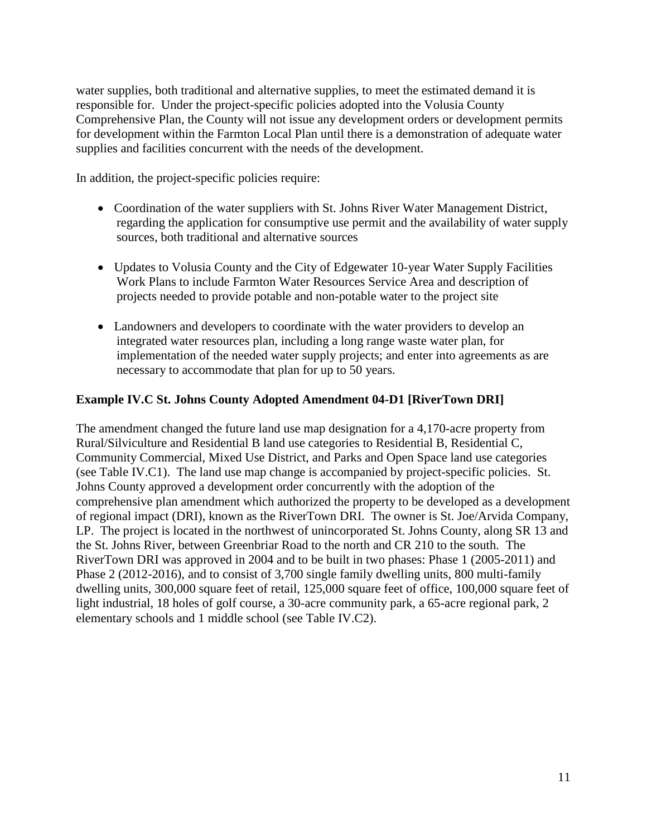water supplies, both traditional and alternative supplies, to meet the estimated demand it is responsible for. Under the project-specific policies adopted into the Volusia County Comprehensive Plan, the County will not issue any development orders or development permits for development within the Farmton Local Plan until there is a demonstration of adequate water supplies and facilities concurrent with the needs of the development.

In addition, the project-specific policies require:

- Coordination of the water suppliers with St. Johns River Water Management District, regarding the application for consumptive use permit and the availability of water supply sources, both traditional and alternative sources
- Updates to Volusia County and the City of Edgewater 10-year Water Supply Facilities Work Plans to include Farmton Water Resources Service Area and description of projects needed to provide potable and non-potable water to the project site
- Landowners and developers to coordinate with the water providers to develop an integrated water resources plan, including a long range waste water plan, for implementation of the needed water supply projects; and enter into agreements as are necessary to accommodate that plan for up to 50 years.

## **Example IV.C St. Johns County Adopted Amendment 04-D1 [RiverTown DRI]**

The amendment changed the future land use map designation for a 4,170-acre property from Rural/Silviculture and Residential B land use categories to Residential B, Residential C, Community Commercial, Mixed Use District, and Parks and Open Space land use categories (see Table IV.C1). The land use map change is accompanied by project-specific policies. St. Johns County approved a development order concurrently with the adoption of the comprehensive plan amendment which authorized the property to be developed as a development of regional impact (DRI), known as the RiverTown DRI. The owner is St. Joe/Arvida Company, LP. The project is located in the northwest of unincorporated St. Johns County, along SR 13 and the St. Johns River, between Greenbriar Road to the north and CR 210 to the south. The RiverTown DRI was approved in 2004 and to be built in two phases: Phase 1 (2005-2011) and Phase 2 (2012-2016), and to consist of 3,700 single family dwelling units, 800 multi-family dwelling units, 300,000 square feet of retail, 125,000 square feet of office, 100,000 square feet of light industrial, 18 holes of golf course, a 30-acre community park, a 65-acre regional park, 2 elementary schools and 1 middle school (see Table IV.C2).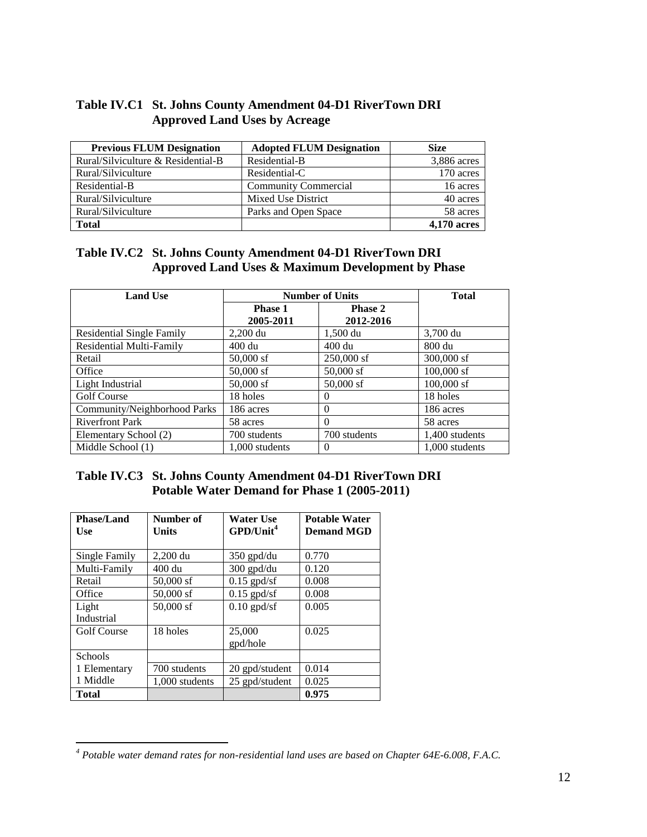| Table IV.C1 St. Johns County Amendment 04-D1 RiverTown DRI |
|------------------------------------------------------------|
| <b>Approved Land Uses by Acreage</b>                       |

| <b>Previous FLUM Designation</b>   | <b>Adopted FLUM Designation</b> | <b>Size</b>        |
|------------------------------------|---------------------------------|--------------------|
| Rural/Silviculture & Residential-B | Residential-B                   | 3,886 acres        |
| Rural/Silviculture                 | Residential-C                   | 170 acres          |
| Residential-B                      | <b>Community Commercial</b>     | 16 acres           |
| Rural/Silviculture                 | <b>Mixed Use District</b>       | 40 acres           |
| Rural/Silviculture                 | Parks and Open Space            | 58 acres           |
| <b>Total</b>                       |                                 | <b>4,170 acres</b> |

## **Table IV.C2 St. Johns County Amendment 04-D1 RiverTown DRI Approved Land Uses & Maximum Development by Phase**

| <b>Land Use</b>                  | <b>Number of Units</b>      |                      | <b>Total</b>   |
|----------------------------------|-----------------------------|----------------------|----------------|
|                                  | <b>Phase 1</b><br>2005-2011 | Phase 2<br>2012-2016 |                |
| <b>Residential Single Family</b> | $2,200$ du                  | 1,500 du             | 3,700 du       |
| <b>Residential Multi-Family</b>  | 400 du                      | 400 du               | 800 du         |
| Retail                           | $50,000$ sf                 | $250,000$ sf         | $300,000$ sf   |
| Office                           | $50,000$ sf                 | $50,000$ sf          | $100,000$ sf   |
| Light Industrial                 | $50,000$ sf                 | $50,000$ sf          | $100,000$ sf   |
| <b>Golf Course</b>               | 18 holes                    | $\Omega$             | 18 holes       |
| Community/Neighborhood Parks     | 186 acres                   | $\Omega$             | 186 acres      |
| <b>Riverfront Park</b>           | 58 acres                    | $\Omega$             | 58 acres       |
| Elementary School (2)            | 700 students                | 700 students         | 1,400 students |
| Middle School (1)                | 1,000 students              | $\theta$             | 1,000 students |

## **Table IV.C3 St. Johns County Amendment 04-D1 RiverTown DRI Potable Water Demand for Phase 1 (2005-2011)**

| <b>Phase/Land</b>  | Number of            | <b>Water Use</b>         | <b>Potable Water</b> |
|--------------------|----------------------|--------------------------|----------------------|
| <b>Use</b>         | Units                | $GPD/U$ nit <sup>4</sup> | <b>Demand MGD</b>    |
|                    |                      |                          |                      |
| Single Family      | $2,200 \, \text{du}$ | 350 gpd/du               | 0.770                |
| Multi-Family       | 400 du               | 300 gpd/du               | 0.120                |
| Retail             | $50,000$ sf          | $0.15$ gpd/sf            | 0.008                |
| Office             | $50,000$ sf          | $0.15$ gpd/sf            | 0.008                |
| Light              | 50,000 sf            | $0.10$ gpd/sf            | 0.005                |
| Industrial         |                      |                          |                      |
| <b>Golf Course</b> | 18 holes             | 25,000                   | 0.025                |
|                    |                      | gpd/hole                 |                      |
| Schools            |                      |                          |                      |
| 1 Elementary       | 700 students         | 20 gpd/student           | 0.014                |
| 1 Middle           | 1,000 students       | 25 gpd/student           | 0.025                |
| Total              |                      |                          | 0.975                |

 $\overline{a}$ 

*<sup>4</sup> Potable water demand rates for non-residential land uses are based on Chapter 64E-6.008, F.A.C.*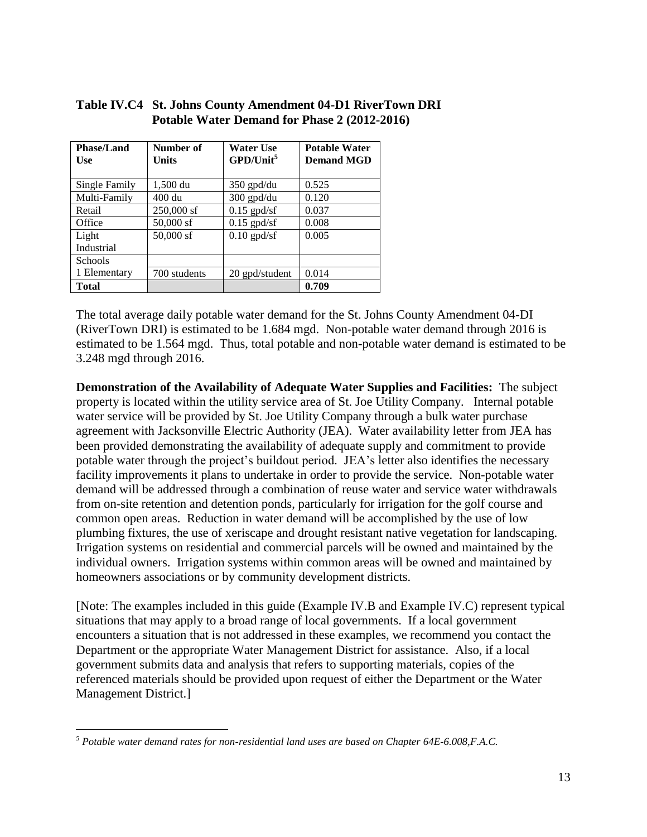| <b>Phase/Land</b><br><b>Use</b> | Number of<br>Units | <b>Water Use</b><br>$GPD/U$ nit <sup>5</sup> | <b>Potable Water</b><br><b>Demand MGD</b> |
|---------------------------------|--------------------|----------------------------------------------|-------------------------------------------|
| Single Family                   | 1,500 du           | $350$ gpd/du                                 | 0.525                                     |
| Multi-Family                    | 400 du             | $300$ gpd/du                                 | 0.120                                     |
| Retail                          | $250,000$ sf       | $0.15$ gpd/sf                                | 0.037                                     |
| Office                          | $50,000$ sf        | $0.15$ gpd/sf                                | 0.008                                     |
| Light                           | 50,000 sf          | $0.10$ gpd/sf                                | 0.005                                     |
| Industrial                      |                    |                                              |                                           |
| <b>Schools</b>                  |                    |                                              |                                           |
| 1 Elementary                    | 700 students       | 20 gpd/student                               | 0.014                                     |
| <b>Total</b>                    |                    |                                              | 0.709                                     |

## **Table IV.C4 St. Johns County Amendment 04-D1 RiverTown DRI Potable Water Demand for Phase 2 (2012-2016)**

The total average daily potable water demand for the St. Johns County Amendment 04-DI (RiverTown DRI) is estimated to be 1.684 mgd. Non-potable water demand through 2016 is estimated to be 1.564 mgd. Thus, total potable and non-potable water demand is estimated to be 3.248 mgd through 2016.

**Demonstration of the Availability of Adequate Water Supplies and Facilities:** The subject property is located within the utility service area of St. Joe Utility Company. Internal potable water service will be provided by St. Joe Utility Company through a bulk water purchase agreement with Jacksonville Electric Authority (JEA). Water availability letter from JEA has been provided demonstrating the availability of adequate supply and commitment to provide potable water through the project's buildout period. JEA's letter also identifies the necessary facility improvements it plans to undertake in order to provide the service. Non-potable water demand will be addressed through a combination of reuse water and service water withdrawals from on-site retention and detention ponds, particularly for irrigation for the golf course and common open areas. Reduction in water demand will be accomplished by the use of low plumbing fixtures, the use of xeriscape and drought resistant native vegetation for landscaping. Irrigation systems on residential and commercial parcels will be owned and maintained by the individual owners. Irrigation systems within common areas will be owned and maintained by homeowners associations or by community development districts.

[Note: The examples included in this guide (Example IV.B and Example IV.C) represent typical situations that may apply to a broad range of local governments. If a local government encounters a situation that is not addressed in these examples, we recommend you contact the Department or the appropriate Water Management District for assistance. Also, if a local government submits data and analysis that refers to supporting materials, copies of the referenced materials should be provided upon request of either the Department or the Water Management District.]

 $\overline{a}$ *<sup>5</sup> Potable water demand rates for non-residential land uses are based on Chapter 64E-6.008,F.A.C.*